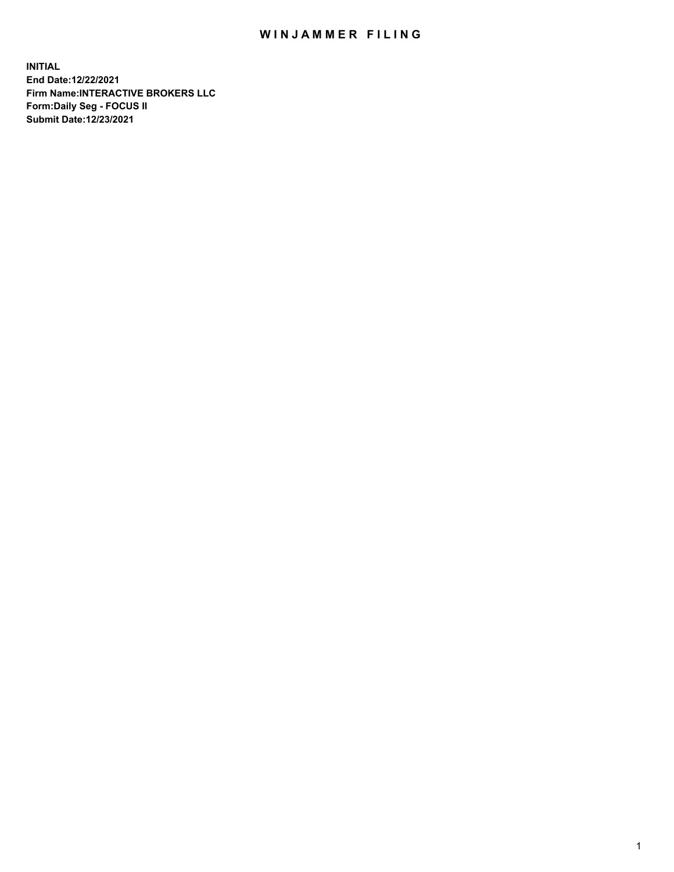## WIN JAMMER FILING

**INITIAL End Date:12/22/2021 Firm Name:INTERACTIVE BROKERS LLC Form:Daily Seg - FOCUS II Submit Date:12/23/2021**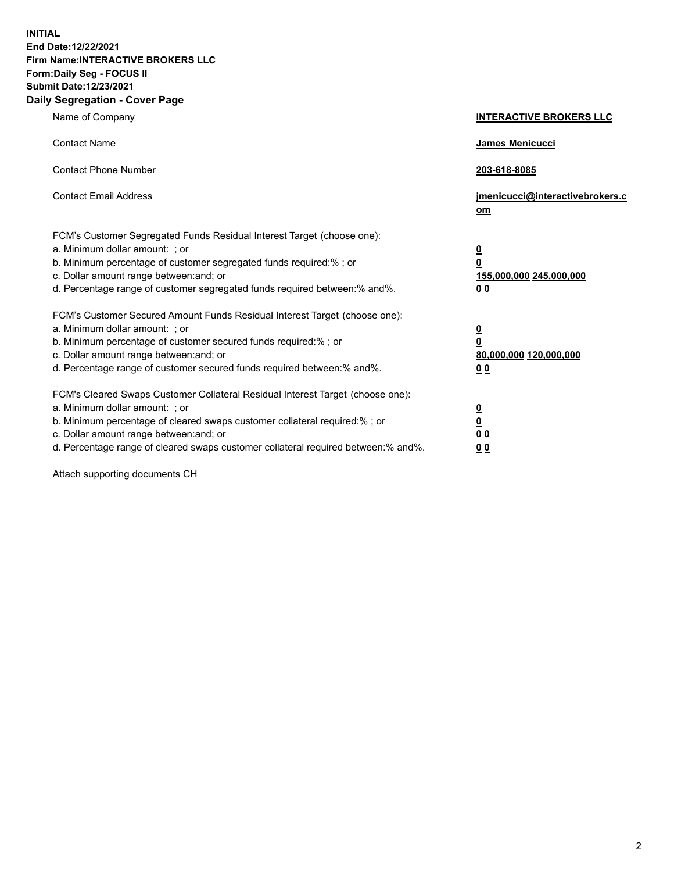**INITIAL End Date:12/22/2021 Firm Name:INTERACTIVE BROKERS LLC Form:Daily Seg - FOCUS II Submit Date:12/23/2021 Daily Segregation - Cover Page**

| Name of Company                                                                                                                                                                                                                                                                                                                | <b>INTERACTIVE BROKERS LLC</b>                                                                           |
|--------------------------------------------------------------------------------------------------------------------------------------------------------------------------------------------------------------------------------------------------------------------------------------------------------------------------------|----------------------------------------------------------------------------------------------------------|
| <b>Contact Name</b>                                                                                                                                                                                                                                                                                                            | James Menicucci                                                                                          |
| <b>Contact Phone Number</b>                                                                                                                                                                                                                                                                                                    | 203-618-8085                                                                                             |
| <b>Contact Email Address</b>                                                                                                                                                                                                                                                                                                   | jmenicucci@interactivebrokers.c<br>om                                                                    |
| FCM's Customer Segregated Funds Residual Interest Target (choose one):<br>a. Minimum dollar amount: ; or<br>b. Minimum percentage of customer segregated funds required:%; or<br>c. Dollar amount range between: and; or<br>d. Percentage range of customer segregated funds required between:% and%.                          | <u>0</u><br>$\overline{\mathbf{0}}$<br>155,000,000 245,000,000<br>0 <sub>0</sub>                         |
| FCM's Customer Secured Amount Funds Residual Interest Target (choose one):<br>a. Minimum dollar amount: ; or<br>b. Minimum percentage of customer secured funds required:%; or<br>c. Dollar amount range between: and; or<br>d. Percentage range of customer secured funds required between:% and%.                            | <u>0</u><br>$\overline{\mathbf{0}}$<br>80,000,000 120,000,000<br><u>00</u>                               |
| FCM's Cleared Swaps Customer Collateral Residual Interest Target (choose one):<br>a. Minimum dollar amount: ; or<br>b. Minimum percentage of cleared swaps customer collateral required:% ; or<br>c. Dollar amount range between: and; or<br>d. Percentage range of cleared swaps customer collateral required between:% and%. | $\overline{\mathbf{0}}$<br>$\underline{\mathbf{0}}$<br>$\underline{0}$ $\underline{0}$<br>0 <sub>0</sub> |

Attach supporting documents CH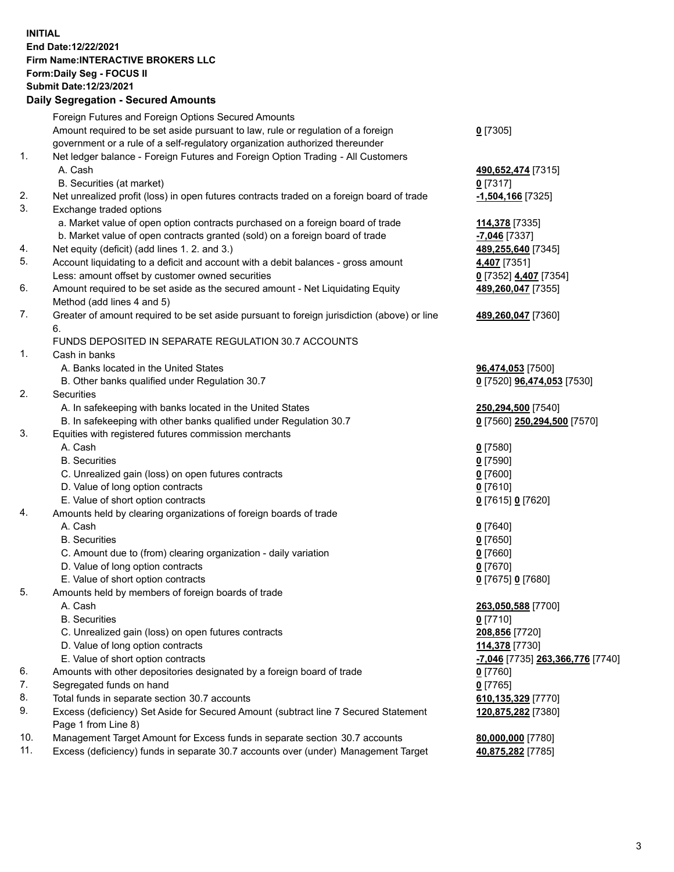## **INITIAL End Date:12/22/2021 Firm Name:INTERACTIVE BROKERS LLC Form:Daily Seg - FOCUS II Submit Date:12/23/2021 Daily Segregation - Secured Amounts**

|     | Daily Segregation - Secured Amounts                                                         |                                               |
|-----|---------------------------------------------------------------------------------------------|-----------------------------------------------|
|     | Foreign Futures and Foreign Options Secured Amounts                                         |                                               |
|     | Amount required to be set aside pursuant to law, rule or regulation of a foreign            | $0$ [7305]                                    |
|     | government or a rule of a self-regulatory organization authorized thereunder                |                                               |
| 1.  | Net ledger balance - Foreign Futures and Foreign Option Trading - All Customers             |                                               |
|     | A. Cash                                                                                     | 490,652,474 [7315]                            |
|     | B. Securities (at market)                                                                   | $0$ [7317]                                    |
| 2.  | Net unrealized profit (loss) in open futures contracts traded on a foreign board of trade   | -1,504,166 <sup>[7325]</sup>                  |
| 3.  | Exchange traded options                                                                     |                                               |
|     | a. Market value of open option contracts purchased on a foreign board of trade              | 114,378 [7335]                                |
|     | b. Market value of open contracts granted (sold) on a foreign board of trade                | -7,046 [7337]                                 |
| 4.  | Net equity (deficit) (add lines 1. 2. and 3.)                                               | 489,255,640 [7345]                            |
| 5.  | Account liquidating to a deficit and account with a debit balances - gross amount           | 4,407 [7351]                                  |
|     | Less: amount offset by customer owned securities                                            | 0 [7352] 4,407 [7354]                         |
| 6.  | Amount required to be set aside as the secured amount - Net Liquidating Equity              | 489,260,047 [7355]                            |
|     | Method (add lines 4 and 5)                                                                  |                                               |
| 7.  | Greater of amount required to be set aside pursuant to foreign jurisdiction (above) or line | 489,260,047 [7360]                            |
|     | 6.                                                                                          |                                               |
|     | FUNDS DEPOSITED IN SEPARATE REGULATION 30.7 ACCOUNTS                                        |                                               |
| 1.  | Cash in banks                                                                               |                                               |
|     | A. Banks located in the United States                                                       | 96,474,053 [7500]                             |
|     | B. Other banks qualified under Regulation 30.7                                              | 0 [7520] 96,474,053 [7530]                    |
| 2.  | Securities                                                                                  |                                               |
|     | A. In safekeeping with banks located in the United States                                   | 250,294,500 [7540]                            |
|     | B. In safekeeping with other banks qualified under Regulation 30.7                          | 0 [7560] 250,294,500 [7570]                   |
| 3.  | Equities with registered futures commission merchants                                       |                                               |
|     | A. Cash                                                                                     | $0$ [7580]                                    |
|     | <b>B.</b> Securities                                                                        | $0$ [7590]                                    |
|     | C. Unrealized gain (loss) on open futures contracts                                         | $0$ [7600]                                    |
|     | D. Value of long option contracts                                                           | $0$ [7610]                                    |
|     | E. Value of short option contracts                                                          | 0 [7615] 0 [7620]                             |
| 4.  | Amounts held by clearing organizations of foreign boards of trade                           |                                               |
|     | A. Cash                                                                                     | $0$ [7640]                                    |
|     | <b>B.</b> Securities                                                                        | $0$ [7650]                                    |
|     | C. Amount due to (from) clearing organization - daily variation                             | $0$ [7660]                                    |
|     | D. Value of long option contracts                                                           | $0$ [7670]                                    |
|     | E. Value of short option contracts                                                          | 0 [7675] 0 [7680]                             |
| 5.  | Amounts held by members of foreign boards of trade                                          |                                               |
|     | A. Cash                                                                                     | 263,050,588 [7700]                            |
|     | <b>B.</b> Securities                                                                        | $0$ [7710]                                    |
|     | C. Unrealized gain (loss) on open futures contracts                                         | 208,856 [7720]                                |
|     | D. Value of long option contracts                                                           | 114,378 [7730]                                |
|     | E. Value of short option contracts                                                          | <mark>-7,046</mark> [7735] 263,366,776 [7740] |
| 6.  | Amounts with other depositories designated by a foreign board of trade                      | 0 [7760]                                      |
| 7.  | Segregated funds on hand                                                                    | $0$ [7765]                                    |
| 8.  | Total funds in separate section 30.7 accounts                                               | 610,135,329 [7770]                            |
| 9.  | Excess (deficiency) Set Aside for Secured Amount (subtract line 7 Secured Statement         | 120,875,282 [7380]                            |
|     | Page 1 from Line 8)                                                                         |                                               |
| 10. | Management Target Amount for Excess funds in separate section 30.7 accounts                 | 80,000,000 [7780]                             |
| 11. | Excess (deficiency) funds in separate 30.7 accounts over (under) Management Target          | 40,875,282 [7785]                             |
|     |                                                                                             |                                               |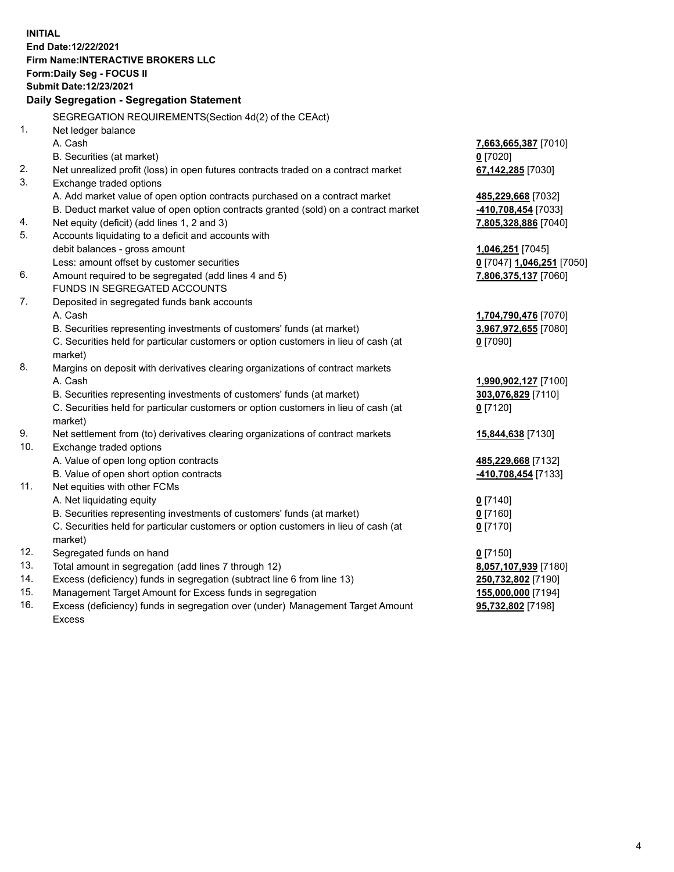**INITIAL End Date:12/22/2021 Firm Name:INTERACTIVE BROKERS LLC Form:Daily Seg - FOCUS II Submit Date:12/23/2021 Daily Segregation - Segregation Statement** SEGREGATION REQUIREMENTS(Section 4d(2) of the CEAct) 1. Net ledger balance A. Cash **7,663,665,387** [7010] B. Securities (at market) **0** [7020] 2. Net unrealized profit (loss) in open futures contracts traded on a contract market **67,142,285** [7030] 3. Exchange traded options A. Add market value of open option contracts purchased on a contract market **485,229,668** [7032] B. Deduct market value of open option contracts granted (sold) on a contract market **-410,708,454** [7033] 4. Net equity (deficit) (add lines 1, 2 and 3) **7,805,328,886** [7040] 5. Accounts liquidating to a deficit and accounts with debit balances - gross amount **1,046,251** [7045] Less: amount offset by customer securities **0** [7047] **1,046,251** [7050] 6. Amount required to be segregated (add lines 4 and 5) **7,806,375,137** [7060] FUNDS IN SEGREGATED ACCOUNTS 7. Deposited in segregated funds bank accounts A. Cash **1,704,790,476** [7070] B. Securities representing investments of customers' funds (at market) **3,967,972,655** [7080] C. Securities held for particular customers or option customers in lieu of cash (at market) **0** [7090] 8. Margins on deposit with derivatives clearing organizations of contract markets A. Cash **1,990,902,127** [7100] B. Securities representing investments of customers' funds (at market) **303,076,829** [7110] C. Securities held for particular customers or option customers in lieu of cash (at market) **0** [7120] 9. Net settlement from (to) derivatives clearing organizations of contract markets **15,844,638** [7130] 10. Exchange traded options A. Value of open long option contracts **485,229,668** [7132] B. Value of open short option contracts **-410,708,454** [7133] 11. Net equities with other FCMs A. Net liquidating equity **0** [7140] B. Securities representing investments of customers' funds (at market) **0** [7160] C. Securities held for particular customers or option customers in lieu of cash (at market) **0** [7170] 12. Segregated funds on hand **0** [7150] 13. Total amount in segregation (add lines 7 through 12) **8,057,107,939** [7180] 14. Excess (deficiency) funds in segregation (subtract line 6 from line 13) **250,732,802** [7190] 15. Management Target Amount for Excess funds in segregation **155,000,000** [7194] **95,732,802** [7198]

16. Excess (deficiency) funds in segregation over (under) Management Target Amount Excess